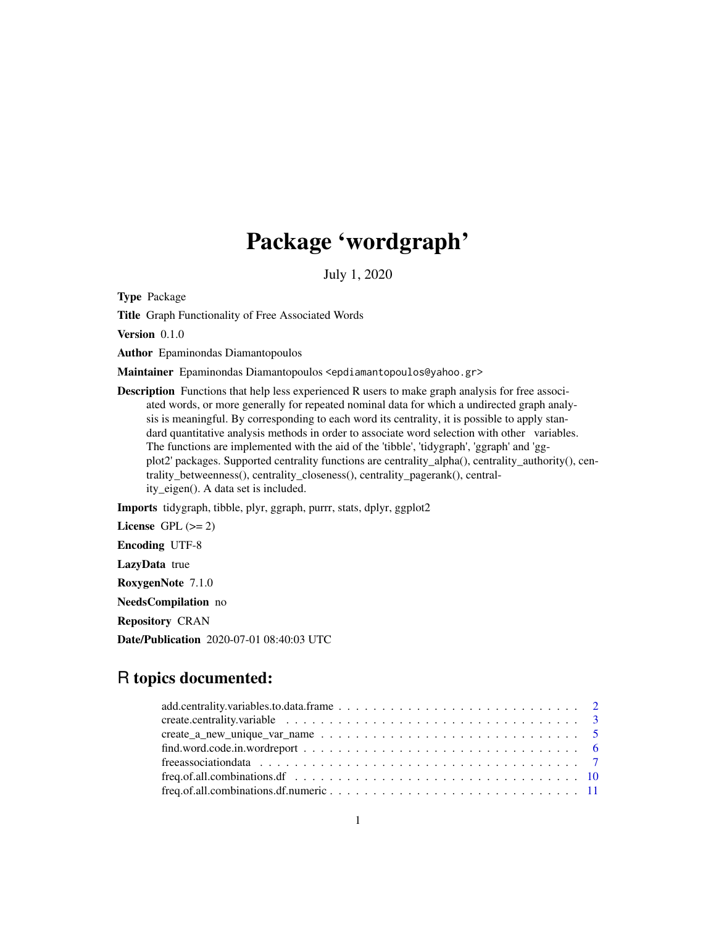# Package 'wordgraph'

July 1, 2020

Type Package

Title Graph Functionality of Free Associated Words

Version 0.1.0

Author Epaminondas Diamantopoulos

Maintainer Epaminondas Diamantopoulos <epdiamantopoulos@yahoo.gr>

**Description** Functions that help less experienced R users to make graph analysis for free associated words, or more generally for repeated nominal data for which a undirected graph analysis is meaningful. By corresponding to each word its centrality, it is possible to apply standard quantitative analysis methods in order to associate word selection with other variables. The functions are implemented with the aid of the 'tibble', 'tidygraph', 'ggraph' and 'ggplot2' packages. Supported centrality functions are centrality\_alpha(), centrality\_authority(), centrality\_betweenness(), centrality\_closeness(), centrality\_pagerank(), centrality\_eigen(). A data set is included.

Imports tidygraph, tibble, plyr, ggraph, purrr, stats, dplyr, ggplot2

License GPL  $(>= 2)$ 

Encoding UTF-8

LazyData true

RoxygenNote 7.1.0

NeedsCompilation no

Repository CRAN

Date/Publication 2020-07-01 08:40:03 UTC

# R topics documented:

| $find. word. code.in. word report \dots \dots \dots \dots \dots \dots \dots \dots \dots \dots \dots \dots \dots \dots \dots \dots \dots \dots$ |  |
|------------------------------------------------------------------------------------------------------------------------------------------------|--|
| free association data $\ldots \ldots \ldots \ldots \ldots \ldots \ldots \ldots \ldots \ldots \ldots \ldots$                                    |  |
|                                                                                                                                                |  |
|                                                                                                                                                |  |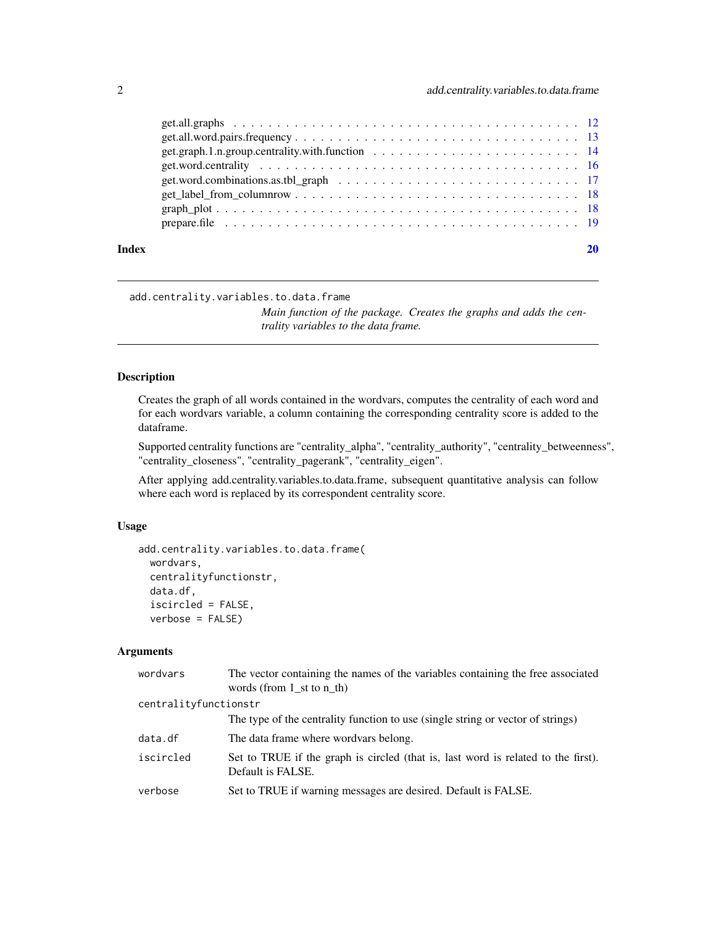<span id="page-1-0"></span>

| Index |                                                                                                                      |  |
|-------|----------------------------------------------------------------------------------------------------------------------|--|
|       |                                                                                                                      |  |
|       |                                                                                                                      |  |
|       |                                                                                                                      |  |
|       | get.word.combinations.as.tbl_graph $\ldots \ldots \ldots \ldots \ldots \ldots \ldots \ldots \ldots \ldots \ldots 17$ |  |
|       |                                                                                                                      |  |
|       |                                                                                                                      |  |
|       |                                                                                                                      |  |
|       |                                                                                                                      |  |

add.centrality.variables.to.data.frame

*Main function of the package. Creates the graphs and adds the centrality variables to the data frame.*

# Description

Creates the graph of all words contained in the wordvars, computes the centrality of each word and for each wordvars variable, a column containing the corresponding centrality score is added to the dataframe.

Supported centrality functions are "centrality\_alpha", "centrality\_authority", "centrality\_betweenness", "centrality\_closeness", "centrality\_pagerank", "centrality\_eigen".

After applying add.centrality.variables.to.data.frame, subsequent quantitative analysis can follow where each word is replaced by its correspondent centrality score.

# Usage

```
add.centrality.variables.to.data.frame(
 wordvars,
  centralityfunctionstr,
  data.df,
  iscircled = FALSE,
  verbose = FALSE)
```
#### Arguments

| wordvars              | The vector containing the names of the variables containing the free associated<br>words (from $1$ st to $n$ th) |
|-----------------------|------------------------------------------------------------------------------------------------------------------|
| centralityfunctionstr |                                                                                                                  |
|                       | The type of the centrality function to use (single string or vector of strings)                                  |
| data.df               | The data frame where wordvars belong.                                                                            |
| iscircled             | Set to TRUE if the graph is circled (that is, last word is related to the first).<br>Default is FALSE.           |
| verbose               | Set to TRUE if warning messages are desired. Default is FALSE.                                                   |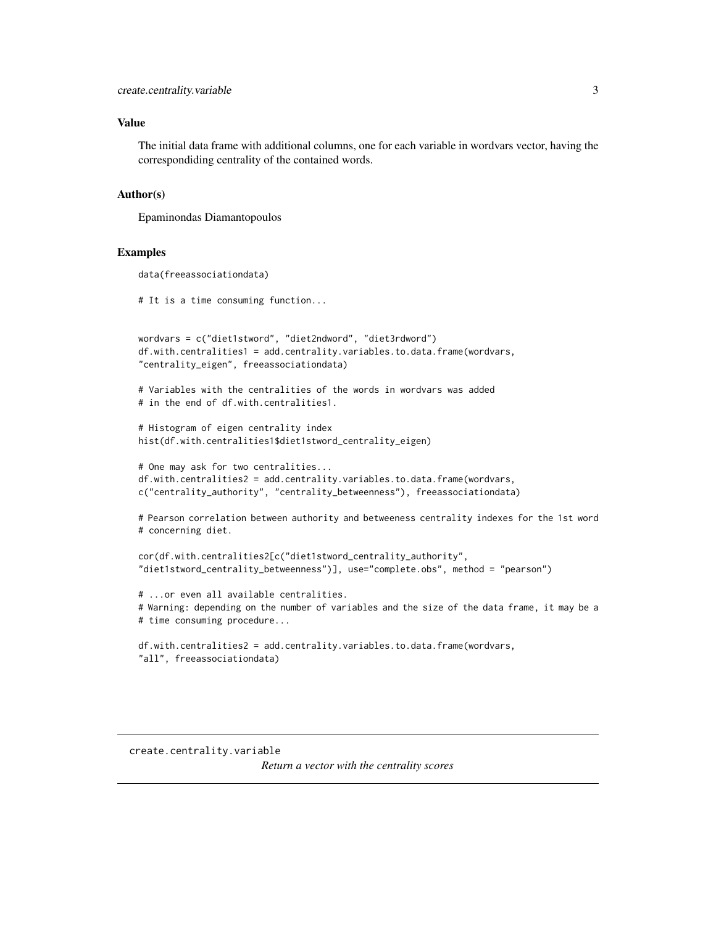#### <span id="page-2-0"></span>Value

The initial data frame with additional columns, one for each variable in wordvars vector, having the correspondiding centrality of the contained words.

#### Author(s)

Epaminondas Diamantopoulos

#### Examples

```
data(freeassociationdata)
# It is a time consuming function...
wordvars = c("diet1stword", "diet2ndword", "diet3rdword")
df.with.centralities1 = add.centrality.variables.to.data.frame(wordvars,
"centrality_eigen", freeassociationdata)
# Variables with the centralities of the words in wordvars was added
# in the end of df.with.centralities1.
# Histogram of eigen centrality index
hist(df.with.centralities1$diet1stword_centrality_eigen)
# One may ask for two centralities...
df.with.centralities2 = add.centrality.variables.to.data.frame(wordvars,
c("centrality_authority", "centrality_betweenness"), freeassociationdata)
# Pearson correlation between authority and betweeness centrality indexes for the 1st word
# concerning diet.
cor(df.with.centralities2[c("diet1stword_centrality_authority",
"diet1stword_centrality_betweenness")], use="complete.obs", method = "pearson")
# ...or even all available centralities.
# Warning: depending on the number of variables and the size of the data frame, it may be a
# time consuming procedure...
df.with.centralities2 = add.centrality.variables.to.data.frame(wordvars,
"all", freeassociationdata)
```

```
create.centrality.variable
                         Return a vector with the centrality scores
```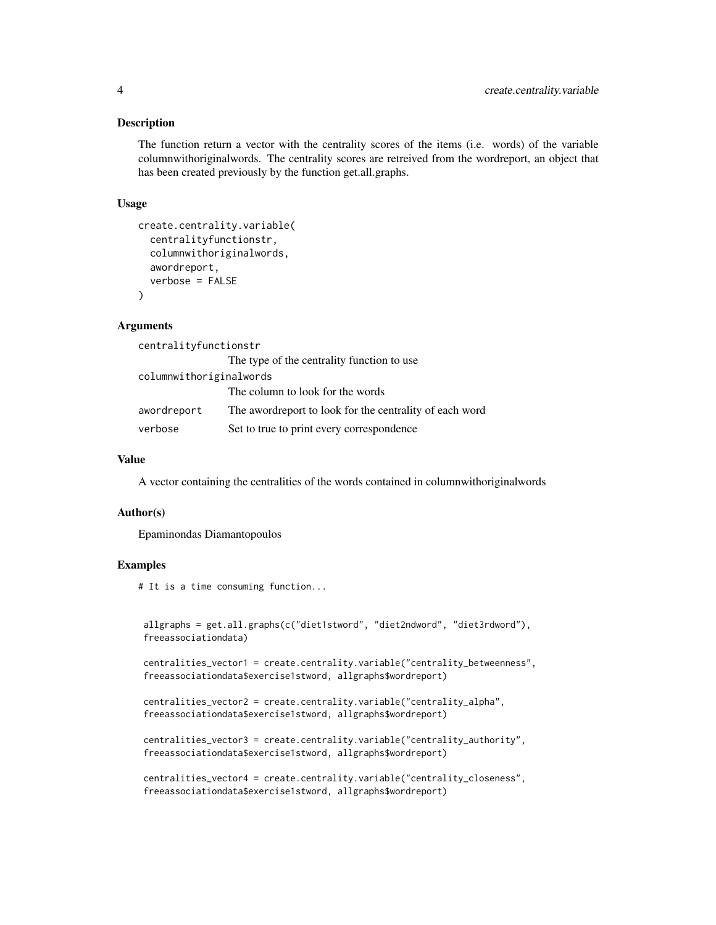#### **Description**

The function return a vector with the centrality scores of the items (i.e. words) of the variable columnwithoriginalwords. The centrality scores are retreived from the wordreport, an object that has been created previously by the function get.all.graphs.

#### Usage

```
create.centrality.variable(
  centralityfunctionstr,
  columnwithoriginalwords,
  awordreport,
  verbose = FALSE
\lambda
```
# Arguments

centralityfunctionstr

|                         | The type of the centrality function to use               |
|-------------------------|----------------------------------------------------------|
| columnwithoriginalwords |                                                          |
|                         | The column to look for the words                         |
| awordreport             | The aword report to look for the centrality of each word |
| verbose                 | Set to true to print every correspondence                |

#### Value

A vector containing the centralities of the words contained in columnwithoriginalwords

#### Author(s)

Epaminondas Diamantopoulos

#### Examples

# It is a time consuming function...

```
allgraphs = get.all.graphs(c("diet1stword", "diet2ndword", "diet3rdword"),
freeassociationdata)
```
centralities\_vector1 = create.centrality.variable("centrality\_betweenness", freeassociationdata\$exercise1stword, allgraphs\$wordreport)

```
centralities_vector2 = create.centrality.variable("centrality_alpha",
freeassociationdata$exercise1stword, allgraphs$wordreport)
```

```
centralities_vector3 = create.centrality.variable("centrality_authority",
freeassociationdata$exercise1stword, allgraphs$wordreport)
```

```
centralities_vector4 = create.centrality.variable("centrality_closeness",
freeassociationdata$exercise1stword, allgraphs$wordreport)
```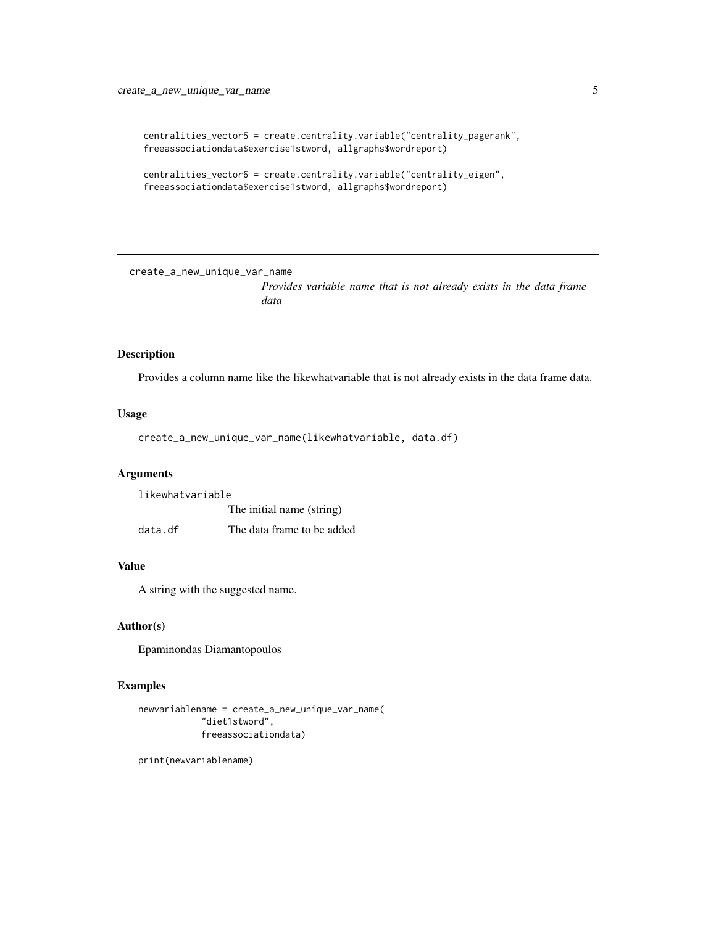```
centralities_vector5 = create.centrality.variable("centrality_pagerank",
freeassociationdata$exercise1stword, allgraphs$wordreport)
```

```
centralities_vector6 = create.centrality.variable("centrality_eigen",
freeassociationdata$exercise1stword, allgraphs$wordreport)
```
create\_a\_new\_unique\_var\_name

*Provides variable name that is not already exists in the data frame data*

# Description

Provides a column name like the likewhatvariable that is not already exists in the data frame data.

#### Usage

create\_a\_new\_unique\_var\_name(likewhatvariable, data.df)

#### Arguments

likewhatvariable

The initial name (string)

data.df The data frame to be added

# Value

A string with the suggested name.

#### Author(s)

Epaminondas Diamantopoulos

# Examples

```
newvariablename = create_a_new_unique_var_name(
            "diet1stword",
            freeassociationdata)
```
print(newvariablename)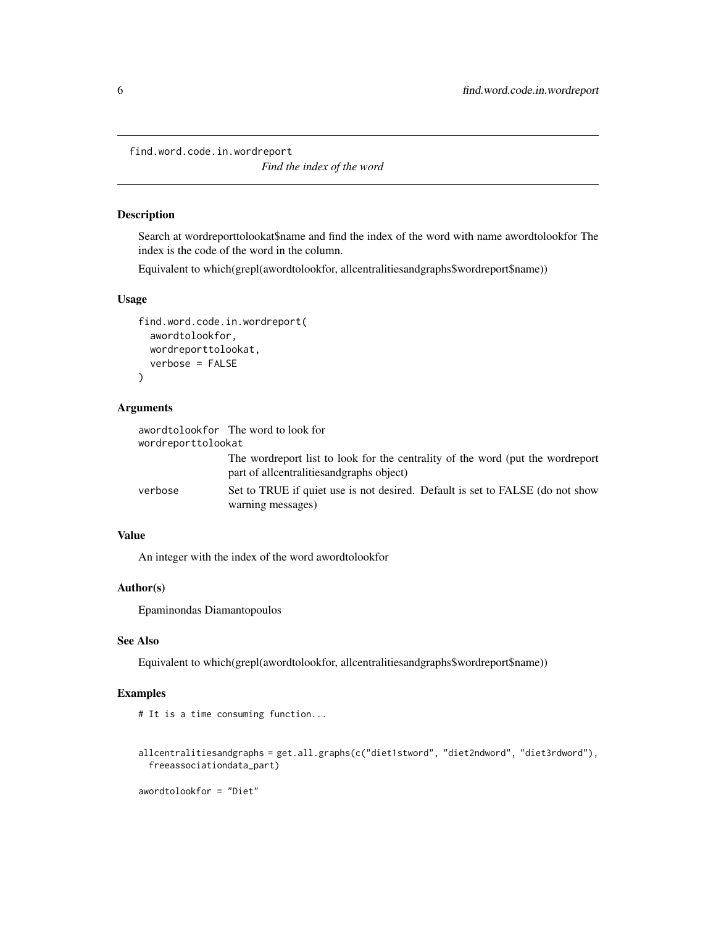<span id="page-5-0"></span>find.word.code.in.wordreport

*Find the index of the word*

# Description

Search at wordreporttolookat\$name and find the index of the word with name awordtolookfor The index is the code of the word in the column.

Equivalent to which(grepl(awordtolookfor, allcentralitiesandgraphs\$wordreport\$name))

#### Usage

```
find.word.code.in.wordreport(
  awordtolookfor,
 wordreporttolookat,
  verbose = FALSE
)
```
# Arguments

|                    | awordtolookfor The word to look for                                                                                          |
|--------------------|------------------------------------------------------------------------------------------------------------------------------|
| wordreporttolookat |                                                                                                                              |
|                    | The wordreport list to look for the centrality of the word (put the wordreport<br>part of allcentralities and graphs object) |
| verbose            | Set to TRUE if quiet use is not desired. Default is set to FALSE (do not show<br>warning messages)                           |

#### Value

An integer with the index of the word awordtolookfor

# Author(s)

Epaminondas Diamantopoulos

# See Also

Equivalent to which(grepl(awordtolookfor, allcentralitiesandgraphs\$wordreport\$name))

# Examples

```
# It is a time consuming function...
```

```
allcentralitiesandgraphs = get.all.graphs(c("diet1stword", "diet2ndword", "diet3rdword"),
 freeassociationdata_part)
```
awordtolookfor = "Diet"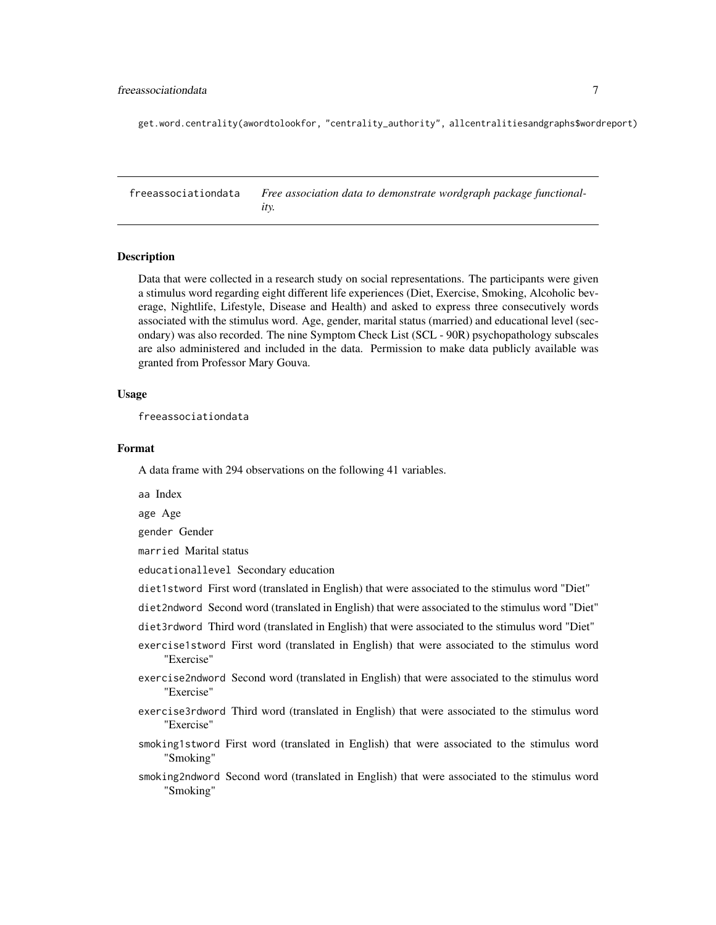### <span id="page-6-0"></span>freeassociationdata 7

get.word.centrality(awordtolookfor, "centrality\_authority", allcentralitiesandgraphs\$wordreport)

freeassociationdata *Free association data to demonstrate wordgraph package functionality.*

# **Description**

Data that were collected in a research study on social representations. The participants were given a stimulus word regarding eight different life experiences (Diet, Exercise, Smoking, Alcoholic beverage, Nightlife, Lifestyle, Disease and Health) and asked to express three consecutively words associated with the stimulus word. Age, gender, marital status (married) and educational level (secondary) was also recorded. The nine Symptom Check List (SCL - 90R) psychopathology subscales are also administered and included in the data. Permission to make data publicly available was granted from Professor Mary Gouva.

#### Usage

freeassociationdata

# Format

A data frame with 294 observations on the following 41 variables.

aa Index

age Age

gender Gender

married Marital status

educationallevel Secondary education

diet1stword First word (translated in English) that were associated to the stimulus word "Diet"

diet2ndword Second word (translated in English) that were associated to the stimulus word "Diet"

- diet3rdword Third word (translated in English) that were associated to the stimulus word "Diet"
- exercise1stword First word (translated in English) that were associated to the stimulus word "Exercise"
- exercise2ndword Second word (translated in English) that were associated to the stimulus word "Exercise"
- exercise3rdword Third word (translated in English) that were associated to the stimulus word "Exercise"
- smoking1stword First word (translated in English) that were associated to the stimulus word "Smoking"
- smoking2ndword Second word (translated in English) that were associated to the stimulus word "Smoking"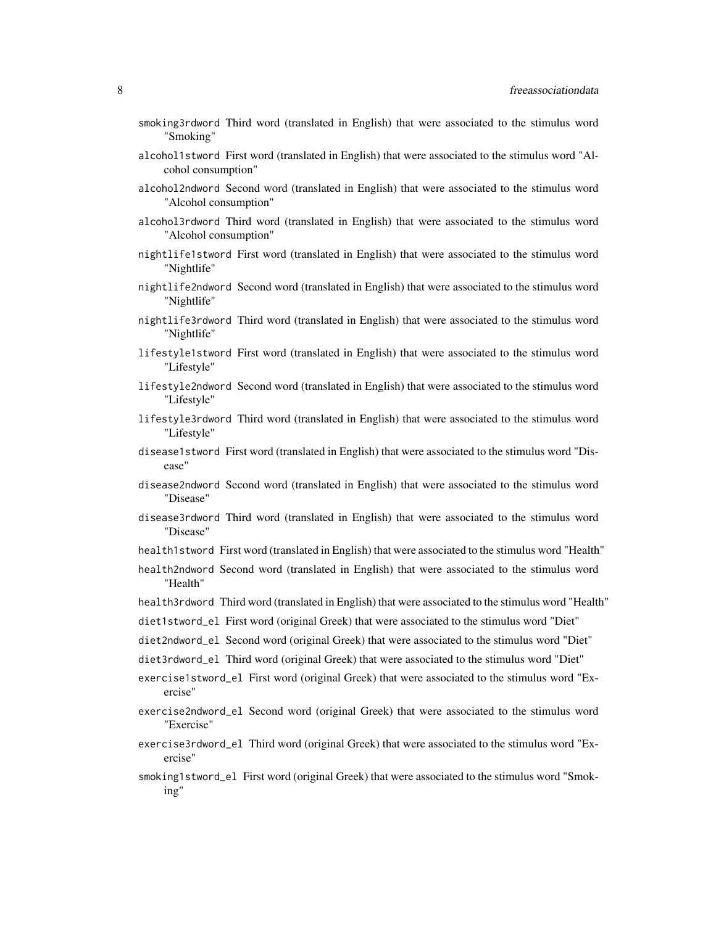- smoking3rdword Third word (translated in English) that were associated to the stimulus word "Smoking"
- alcohol1stword First word (translated in English) that were associated to the stimulus word "Alcohol consumption"
- alcohol2ndword Second word (translated in English) that were associated to the stimulus word "Alcohol consumption"
- alcohol3rdword Third word (translated in English) that were associated to the stimulus word "Alcohol consumption"
- nightlife1stword First word (translated in English) that were associated to the stimulus word "Nightlife"
- nightlife2ndword Second word (translated in English) that were associated to the stimulus word "Nightlife"
- nightlife3rdword Third word (translated in English) that were associated to the stimulus word "Nightlife"
- lifestyle1stword First word (translated in English) that were associated to the stimulus word "Lifestyle"
- lifestyle2ndword Second word (translated in English) that were associated to the stimulus word "Lifestyle"
- lifestyle3rdword Third word (translated in English) that were associated to the stimulus word "Lifestyle"
- disease1stword First word (translated in English) that were associated to the stimulus word "Disease"
- disease2ndword Second word (translated in English) that were associated to the stimulus word "Disease"
- disease3rdword Third word (translated in English) that were associated to the stimulus word "Disease"
- health1stword First word (translated in English) that were associated to the stimulus word "Health"
- health2ndword Second word (translated in English) that were associated to the stimulus word "Health"
- health3rdword Third word (translated in English) that were associated to the stimulus word "Health"
- diet1stword\_el First word (original Greek) that were associated to the stimulus word "Diet"
- diet2ndword\_el Second word (original Greek) that were associated to the stimulus word "Diet"
- diet3rdword\_el Third word (original Greek) that were associated to the stimulus word "Diet"
- exercise1stword\_el First word (original Greek) that were associated to the stimulus word "Exercise"
- exercise2ndword\_el Second word (original Greek) that were associated to the stimulus word "Exercise"
- exercise3rdword\_el Third word (original Greek) that were associated to the stimulus word "Exercise"
- smoking1stword\_el First word (original Greek) that were associated to the stimulus word "Smoking"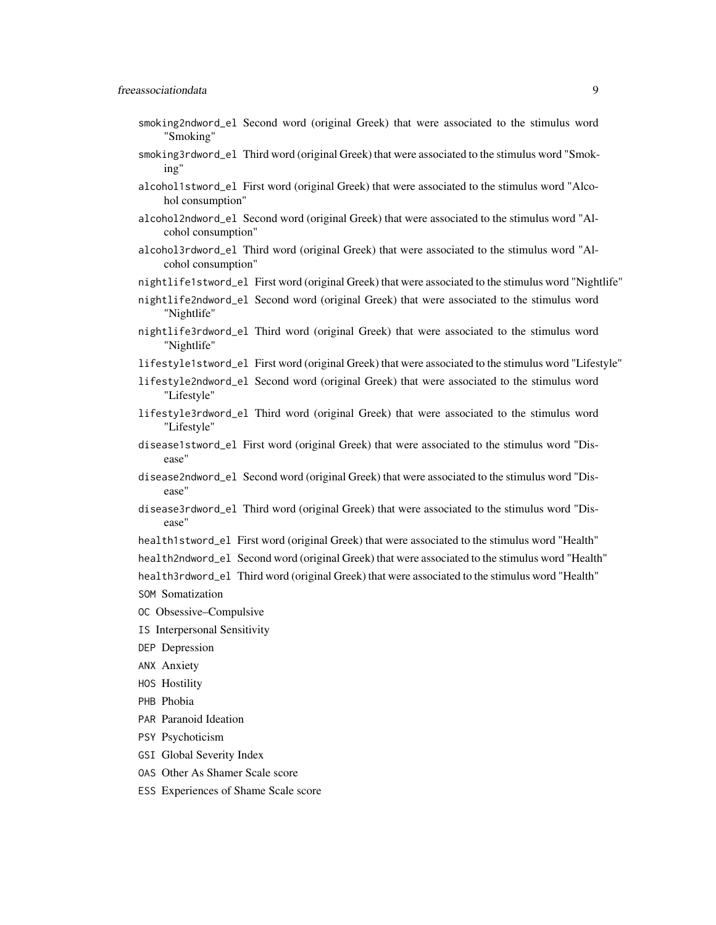- smoking2ndword\_el Second word (original Greek) that were associated to the stimulus word "Smoking"
- smoking3rdword\_el Third word (original Greek) that were associated to the stimulus word "Smoking"
- alcohol1stword\_el First word (original Greek) that were associated to the stimulus word "Alcohol consumption"
- alcohol2ndword\_el Second word (original Greek) that were associated to the stimulus word "Alcohol consumption"
- alcohol3rdword\_el Third word (original Greek) that were associated to the stimulus word "Alcohol consumption"
- nightlife1stword\_el First word (original Greek) that were associated to the stimulus word "Nightlife"
- nightlife2ndword\_el Second word (original Greek) that were associated to the stimulus word "Nightlife"
- nightlife3rdword\_el Third word (original Greek) that were associated to the stimulus word "Nightlife"
- lifestyle1stword\_el First word (original Greek) that were associated to the stimulus word "Lifestyle"
- lifestyle2ndword\_el Second word (original Greek) that were associated to the stimulus word "Lifestyle"
- lifestyle3rdword\_el Third word (original Greek) that were associated to the stimulus word "Lifestyle"
- disease1stword\_el First word (original Greek) that were associated to the stimulus word "Disease"
- disease2ndword\_el Second word (original Greek) that were associated to the stimulus word "Disease"
- disease3rdword\_el Third word (original Greek) that were associated to the stimulus word "Disease"
- health1stword\_el First word (original Greek) that were associated to the stimulus word "Health"
- health2ndword\_el Second word (original Greek) that were associated to the stimulus word "Health"
- health3rdword\_el Third word (original Greek) that were associated to the stimulus word "Health"
- SOM Somatization
- OC Obsessive–Compulsive
- IS Interpersonal Sensitivity
- DEP Depression
- ANX Anxiety
- HOS Hostility
- PHB Phobia
- PAR Paranoid Ideation
- PSY Psychoticism
- GSI Global Severity Index
- OAS Other As Shamer Scale score
- ESS Experiences of Shame Scale score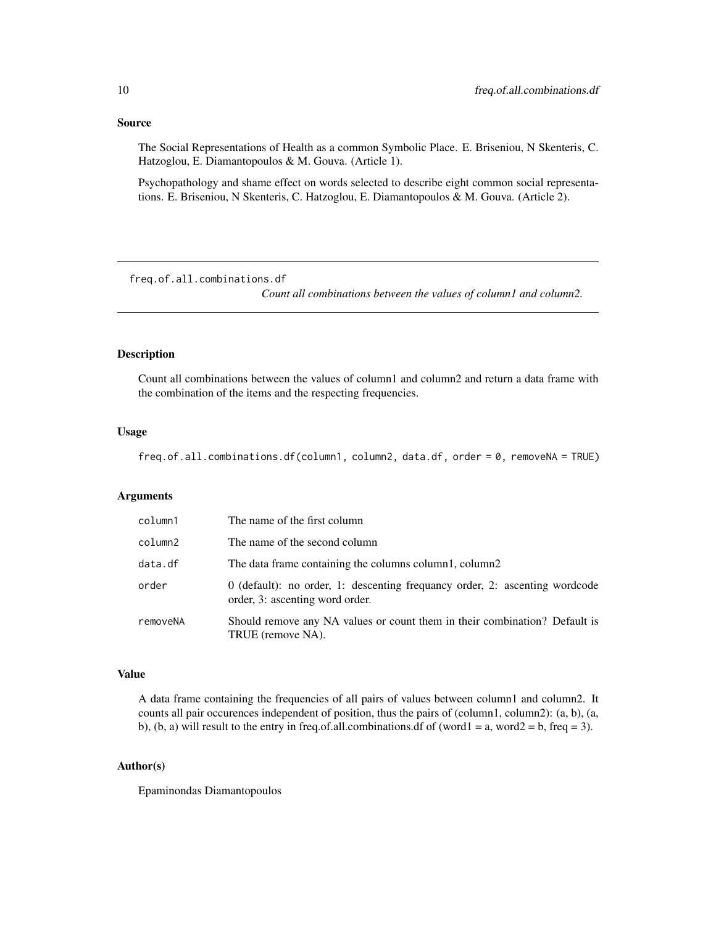#### <span id="page-9-0"></span>Source

The Social Representations of Health as a common Symbolic Place. E. Briseniou, N Skenteris, C. Hatzoglou, E. Diamantopoulos & M. Gouva. (Article 1).

Psychopathology and shame effect on words selected to describe eight common social representations. E. Briseniou, N Skenteris, C. Hatzoglou, E. Diamantopoulos & M. Gouva. (Article 2).

freq.of.all.combinations.df

*Count all combinations between the values of column1 and column2.*

# Description

Count all combinations between the values of column1 and column2 and return a data frame with the combination of the items and the respecting frequencies.

#### Usage

freq.of.all.combinations.df(column1, column2, data.df, order = 0, removeNA = TRUE)

#### Arguments

| column1  | The name of the first column                                                                                   |
|----------|----------------------------------------------------------------------------------------------------------------|
| column2  | The name of the second column                                                                                  |
| data.df  | The data frame containing the columns column1, column2                                                         |
| order    | 0 (default): no order, 1: descenting frequancy order, 2: ascenting wordcode<br>order, 3: ascenting word order. |
| removeNA | Should remove any NA values or count them in their combination? Default is<br>TRUE (remove NA).                |

# Value

A data frame containing the frequencies of all pairs of values between column1 and column2. It counts all pair occurences independent of position, thus the pairs of (column1, column2): (a, b), (a, b), (b, a) will result to the entry in freq.of.all.combinations.df of (word1 = a, word2 = b, freq = 3).

#### Author(s)

Epaminondas Diamantopoulos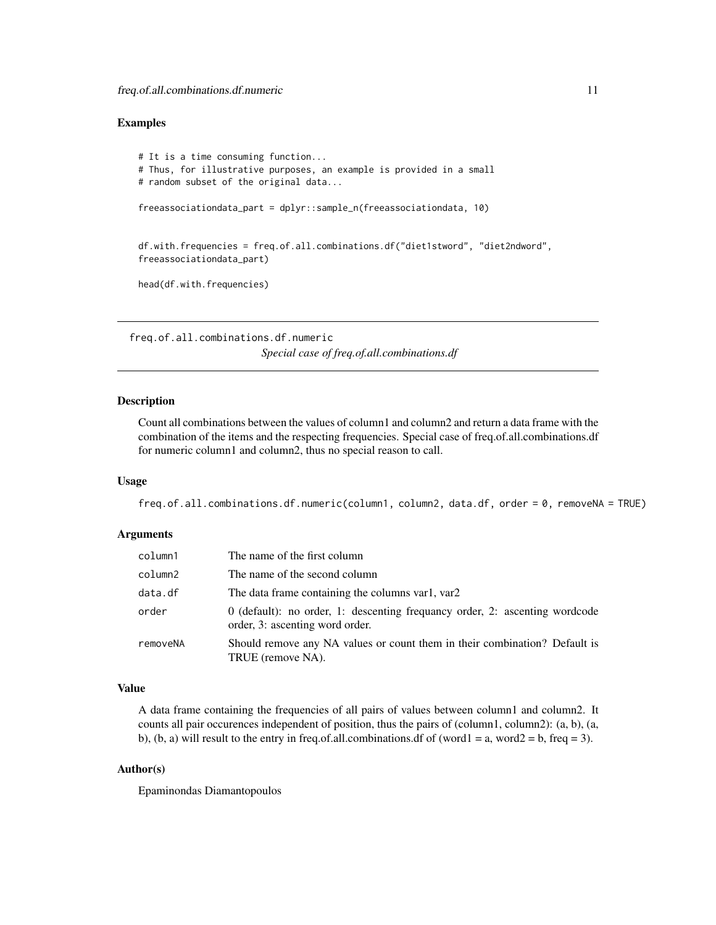#### <span id="page-10-0"></span>Examples

```
# It is a time consuming function...
# Thus, for illustrative purposes, an example is provided in a small
# random subset of the original data...
freeassociationdata_part = dplyr::sample_n(freeassociationdata, 10)
df.with.frequencies = freq.of.all.combinations.df("diet1stword", "diet2ndword",
freeassociationdata_part)
head(df.with.frequencies)
```
freq.of.all.combinations.df.numeric *Special case of freq.of.all.combinations.df*

#### Description

Count all combinations between the values of column1 and column2 and return a data frame with the combination of the items and the respecting frequencies. Special case of freq.of.all.combinations.df for numeric column1 and column2, thus no special reason to call.

# Usage

freq.of.all.combinations.df.numeric(column1, column2, data.df, order = 0, removeNA = TRUE)

#### Arguments

| column1  | The name of the first column                                                                                     |
|----------|------------------------------------------------------------------------------------------------------------------|
| column2  | The name of the second column                                                                                    |
| data.df  | The data frame containing the columns var1, var2                                                                 |
| order    | $0$ (default): no order, 1: descenting frequancy order, 2: ascenting wordcode<br>order, 3: ascenting word order. |
| removeNA | Should remove any NA values or count them in their combination? Default is<br>TRUE (remove NA).                  |

# Value

A data frame containing the frequencies of all pairs of values between column1 and column2. It counts all pair occurences independent of position, thus the pairs of (column1, column2): (a, b), (a, b), (b, a) will result to the entry in freq.of.all.combinations.df of (word1 = a, word2 = b, freq = 3).

# Author(s)

Epaminondas Diamantopoulos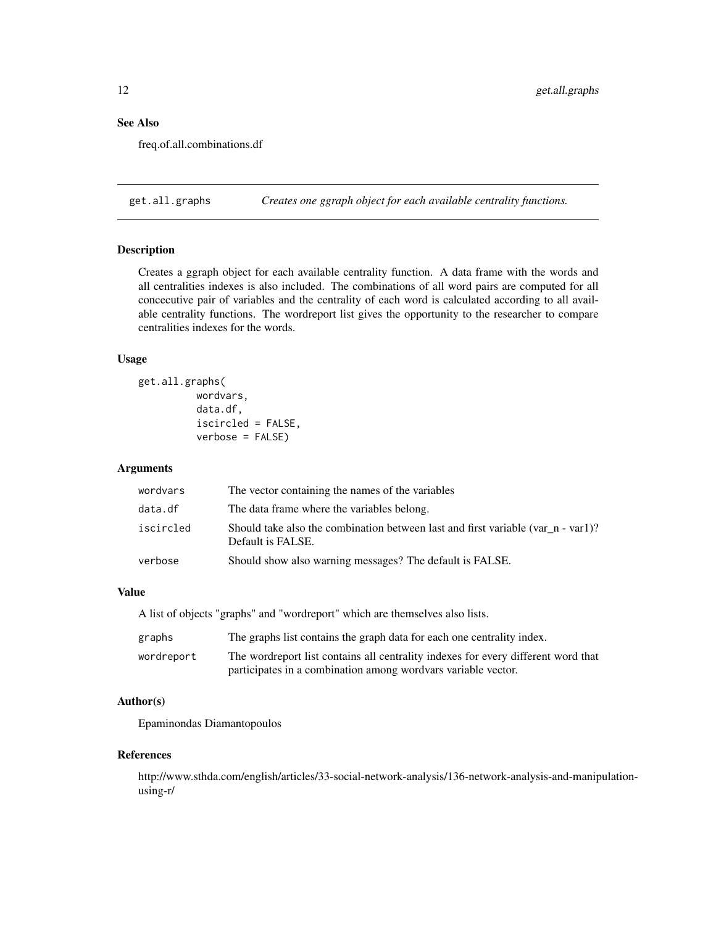# <span id="page-11-0"></span>See Also

freq.of.all.combinations.df

get.all.graphs *Creates one ggraph object for each available centrality functions.*

# Description

Creates a ggraph object for each available centrality function. A data frame with the words and all centralities indexes is also included. The combinations of all word pairs are computed for all concecutive pair of variables and the centrality of each word is calculated according to all available centrality functions. The wordreport list gives the opportunity to the researcher to compare centralities indexes for the words.

# Usage

```
get.all.graphs(
          wordvars,
          data.df,
          iscircled = FALSE,
          verbose = FALSE)
```
# Arguments

| wordvars  | The vector containing the names of the variables                                                      |
|-----------|-------------------------------------------------------------------------------------------------------|
| data.df   | The data frame where the variables belong.                                                            |
| iscircled | Should take also the combination between last and first variable (var n - var1)?<br>Default is FALSE. |
| verbose   | Should show also warning messages? The default is FALSE.                                              |

#### Value

A list of objects "graphs" and "wordreport" which are themselves also lists.

| graphs     | The graphs list contains the graph data for each one centrality index.            |
|------------|-----------------------------------------------------------------------------------|
| wordreport | The wordreport list contains all centrality indexes for every different word that |
|            | participates in a combination among wordvars variable vector.                     |

# Author(s)

Epaminondas Diamantopoulos

#### References

http://www.sthda.com/english/articles/33-social-network-analysis/136-network-analysis-and-manipulationusing-r/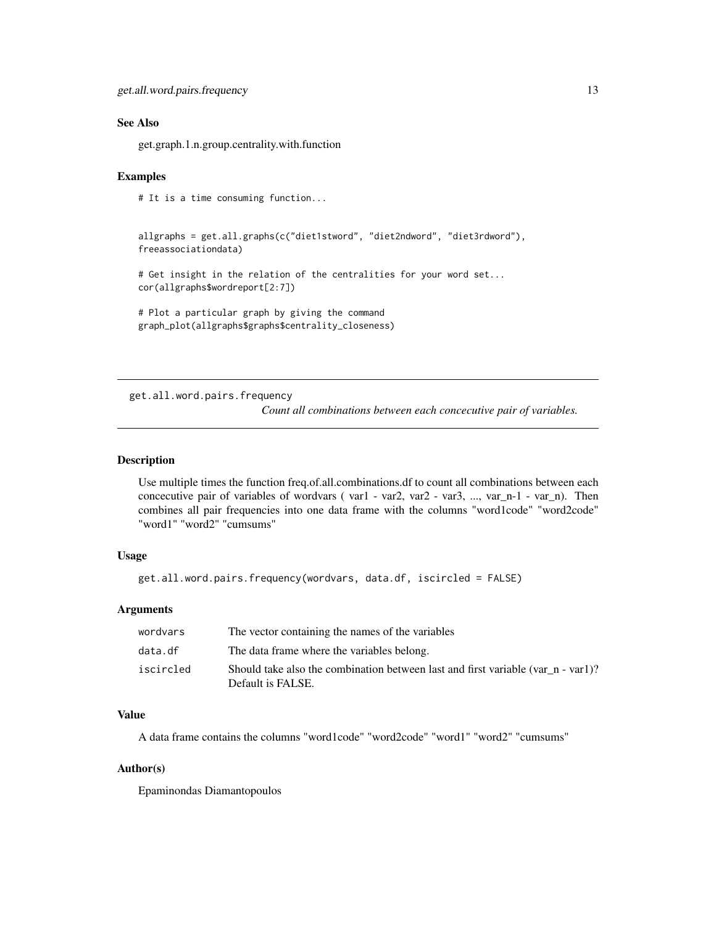#### <span id="page-12-0"></span>See Also

get.graph.1.n.group.centrality.with.function

#### Examples

# It is a time consuming function...

```
allgraphs = get.all.graphs(c("diet1stword", "diet2ndword", "diet3rdword"),
freeassociationdata)
```
# Get insight in the relation of the centralities for your word set... cor(allgraphs\$wordreport[2:7])

```
# Plot a particular graph by giving the command
graph_plot(allgraphs$graphs$centrality_closeness)
```
get.all.word.pairs.frequency

*Count all combinations between each concecutive pair of variables.*

#### Description

Use multiple times the function freq.of.all.combinations.df to count all combinations between each concecutive pair of variables of wordvars ( var1 - var2, var2 - var3, ..., var\_n-1 - var\_n). Then combines all pair frequencies into one data frame with the columns "word1code" "word2code" "word1" "word2" "cumsums"

# Usage

```
get.all.word.pairs.frequency(wordvars, data.df, iscircled = FALSE)
```
#### Arguments

| wordvars  | The vector containing the names of the variables                                                      |
|-----------|-------------------------------------------------------------------------------------------------------|
| data.df   | The data frame where the variables belong.                                                            |
| iscircled | Should take also the combination between last and first variable (var n - var1)?<br>Default is FALSE. |

#### Value

A data frame contains the columns "word1code" "word2code" "word1" "word2" "cumsums"

#### Author(s)

Epaminondas Diamantopoulos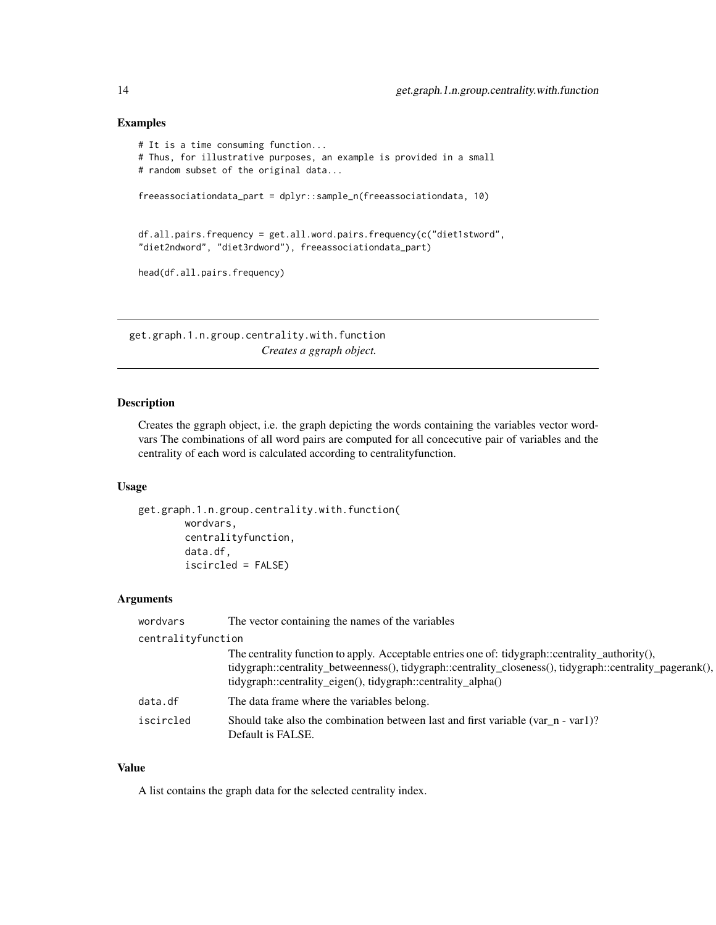#### Examples

```
# It is a time consuming function...
# Thus, for illustrative purposes, an example is provided in a small
# random subset of the original data...
freeassociationdata_part = dplyr::sample_n(freeassociationdata, 10)
df.all.pairs.frequency = get.all.word.pairs.frequency(c("diet1stword",
"diet2ndword", "diet3rdword"), freeassociationdata_part)
head(df.all.pairs.frequency)
```
get.graph.1.n.group.centrality.with.function *Creates a ggraph object.*

# Description

Creates the ggraph object, i.e. the graph depicting the words containing the variables vector wordvars The combinations of all word pairs are computed for all concecutive pair of variables and the centrality of each word is calculated according to centralityfunction.

# Usage

```
get.graph.1.n.group.centrality.with.function(
        wordvars,
        centralityfunction,
        data.df,
        iscircled = FALSE)
```
# Arguments

| wordvars           | The vector containing the names of the variables                                                                                                                                                                                                                             |  |
|--------------------|------------------------------------------------------------------------------------------------------------------------------------------------------------------------------------------------------------------------------------------------------------------------------|--|
| centralityfunction |                                                                                                                                                                                                                                                                              |  |
|                    | The centrality function to apply. Acceptable entries one of: tidygraph::centrality_authority(),<br>tidygraph::centrality_betweenness(), tidygraph::centrality_closeness(), tidygraph::centrality_pagerank(),<br>tidygraph::centrality_eigen(), tidygraph::centrality_alpha() |  |
| data.df            | The data frame where the variables belong.                                                                                                                                                                                                                                   |  |
| iscircled          | Should take also the combination between last and first variable (var_n - var1)?<br>Default is FALSE.                                                                                                                                                                        |  |

#### Value

A list contains the graph data for the selected centrality index.

<span id="page-13-0"></span>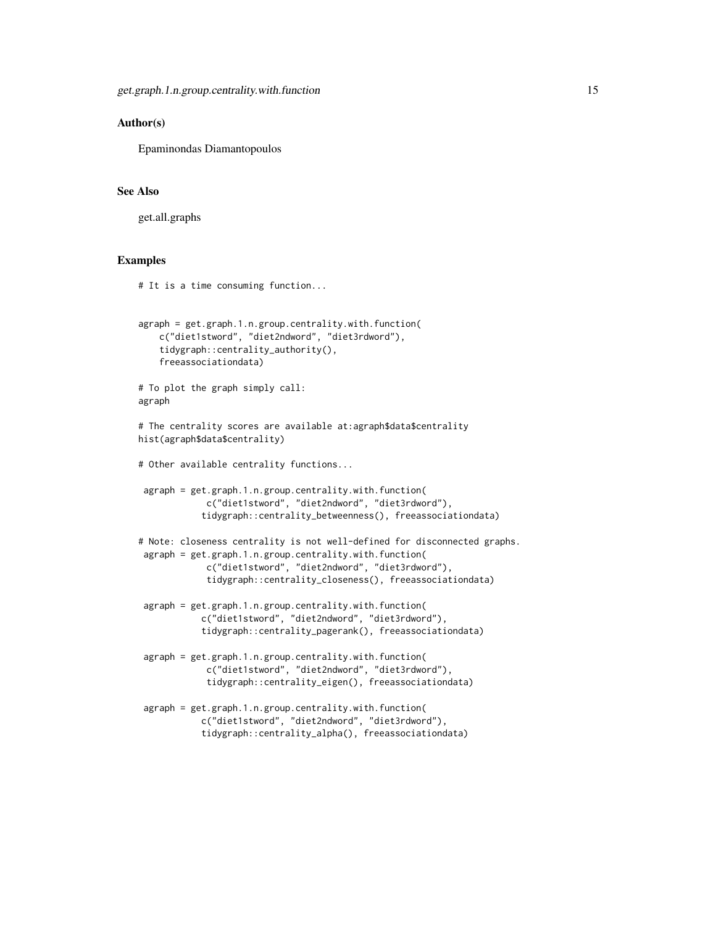#### Author(s)

Epaminondas Diamantopoulos

# See Also

get.all.graphs

#### Examples

```
# It is a time consuming function...
agraph = get.graph.1.n.group.centrality.with.function(
   c("diet1stword", "diet2ndword", "diet3rdword"),
    tidygraph::centrality_authority(),
    freeassociationdata)
# To plot the graph simply call:
agraph
# The centrality scores are available at:agraph$data$centrality
hist(agraph$data$centrality)
# Other available centrality functions...
 agraph = get.graph.1.n.group.centrality.with.function(
             c("diet1stword", "diet2ndword", "diet3rdword"),
            tidygraph::centrality_betweenness(), freeassociationdata)
# Note: closeness centrality is not well-defined for disconnected graphs.
agraph = get.graph.1.n.group.centrality.with.function(
             c("diet1stword", "diet2ndword", "diet3rdword"),
             tidygraph::centrality_closeness(), freeassociationdata)
 agraph = get.graph.1.n.group.centrality.with.function(
            c("diet1stword", "diet2ndword", "diet3rdword"),
            tidygraph::centrality_pagerank(), freeassociationdata)
 agraph = get.graph.1.n.group.centrality.with.function(
             c("diet1stword", "diet2ndword", "diet3rdword"),
             tidygraph::centrality_eigen(), freeassociationdata)
 agraph = get.graph.1.n.group.centrality.with.function(
            c("diet1stword", "diet2ndword", "diet3rdword"),
            tidygraph::centrality_alpha(), freeassociationdata)
```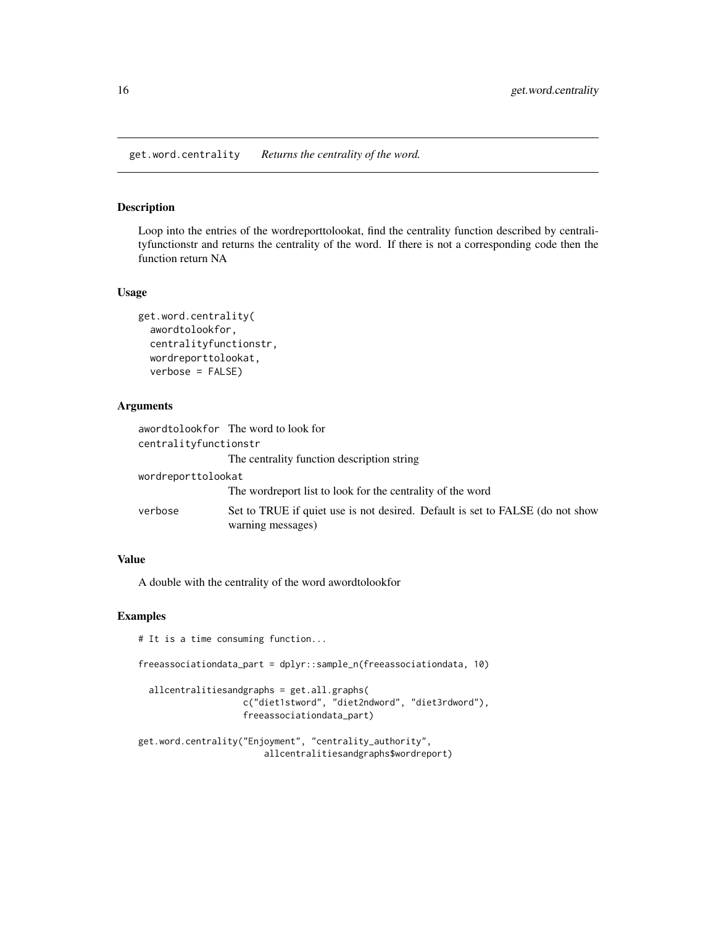<span id="page-15-0"></span>get.word.centrality *Returns the centrality of the word.*

# Description

Loop into the entries of the wordreporttolookat, find the centrality function described by centralityfunctionstr and returns the centrality of the word. If there is not a corresponding code then the function return NA

#### Usage

```
get.word.centrality(
  awordtolookfor,
  centralityfunctionstr,
  wordreporttolookat,
  verbose = FALSE)
```
#### Arguments

|                       | awordtolookfor The word to look for                                                                |  |
|-----------------------|----------------------------------------------------------------------------------------------------|--|
| centralityfunctionstr |                                                                                                    |  |
|                       | The centrality function description string                                                         |  |
| wordreporttolookat    |                                                                                                    |  |
|                       | The wordreport list to look for the centrality of the word                                         |  |
| verbose               | Set to TRUE if quiet use is not desired. Default is set to FALSE (do not show<br>warning messages) |  |

#### Value

A double with the centrality of the word awordtolookfor

# Examples

# It is a time consuming function...

```
freeassociationdata_part = dplyr::sample_n(freeassociationdata, 10)
```

```
allcentralitiesandgraphs = get.all.graphs(
                  c("diet1stword", "diet2ndword", "diet3rdword"),
                  freeassociationdata_part)
```

```
get.word.centrality("Enjoyment", "centrality_authority",
                       allcentralitiesandgraphs$wordreport)
```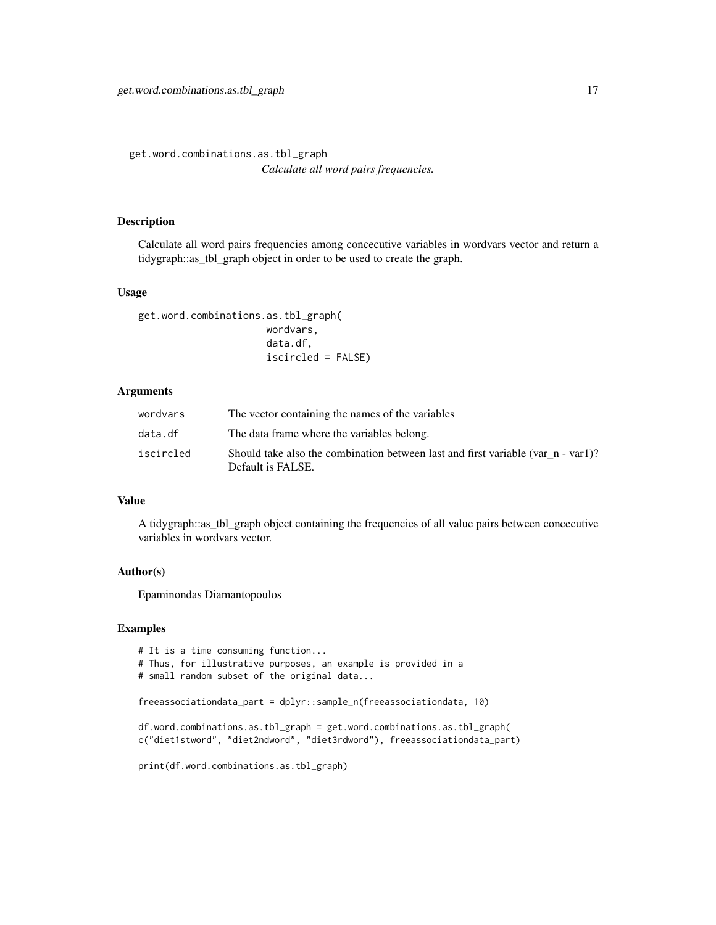<span id="page-16-0"></span>get.word.combinations.as.tbl\_graph *Calculate all word pairs frequencies.*

#### Description

Calculate all word pairs frequencies among concecutive variables in wordvars vector and return a tidygraph::as\_tbl\_graph object in order to be used to create the graph.

#### Usage

```
get.word.combinations.as.tbl_graph(
                      wordvars,
                      data.df,
                      iscircled = FALSE)
```
#### Arguments

| wordvars  | The vector containing the names of the variables                                                         |
|-----------|----------------------------------------------------------------------------------------------------------|
| data.df   | The data frame where the variables belong.                                                               |
| iscircled | Should take also the combination between last and first variable (var $n - var1$ )?<br>Default is FALSE. |

# Value

A tidygraph::as\_tbl\_graph object containing the frequencies of all value pairs between concecutive variables in wordvars vector.

# Author(s)

Epaminondas Diamantopoulos

# Examples

```
# It is a time consuming function...
# Thus, for illustrative purposes, an example is provided in a
# small random subset of the original data...
freeassociationdata_part = dplyr::sample_n(freeassociationdata, 10)
df.word.combinations.as.tbl_graph = get.word.combinations.as.tbl_graph(
c("diet1stword", "diet2ndword", "diet3rdword"), freeassociationdata_part)
print(df.word.combinations.as.tbl_graph)
```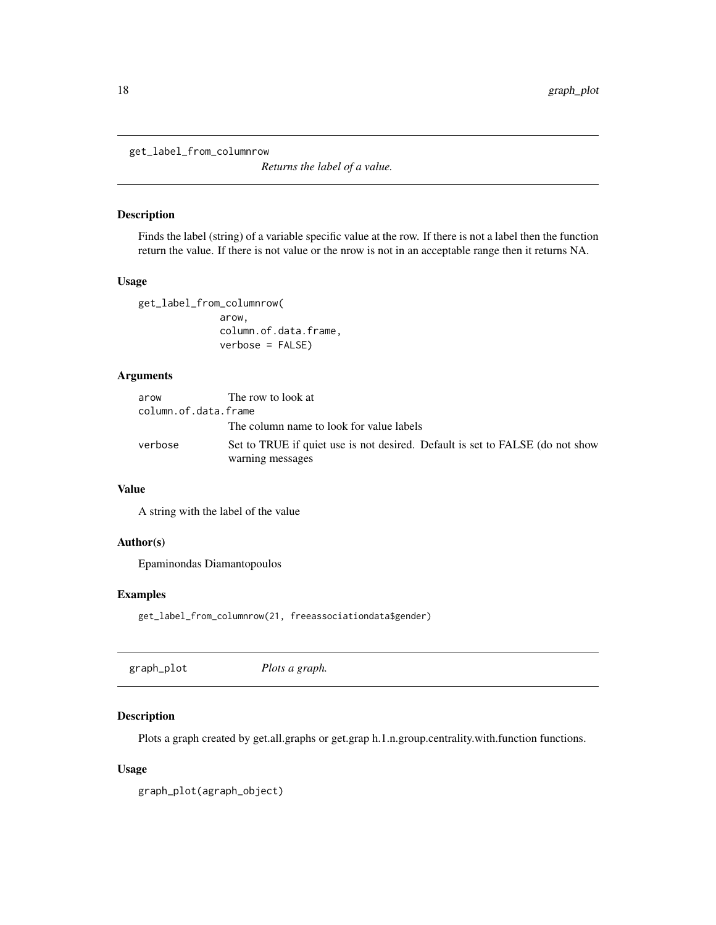<span id="page-17-0"></span>get\_label\_from\_columnrow

*Returns the label of a value.*

#### Description

Finds the label (string) of a variable specific value at the row. If there is not a label then the function return the value. If there is not value or the nrow is not in an acceptable range then it returns NA.

#### Usage

get\_label\_from\_columnrow( arow, column.of.data.frame, verbose = FALSE)

#### Arguments

| arow                 | The row to look at                                                            |
|----------------------|-------------------------------------------------------------------------------|
| column.of.data.frame |                                                                               |
|                      | The column name to look for value labels                                      |
| verbose              | Set to TRUE if quiet use is not desired. Default is set to FALSE (do not show |
|                      | warning messages                                                              |

# Value

A string with the label of the value

#### Author(s)

Epaminondas Diamantopoulos

### Examples

get\_label\_from\_columnrow(21, freeassociationdata\$gender)

| graph_plot | Plots a graph. |  |
|------------|----------------|--|
|------------|----------------|--|

# Description

Plots a graph created by get.all.graphs or get.grap h.1.n.group.centrality.with.function functions.

### Usage

```
graph_plot(agraph_object)
```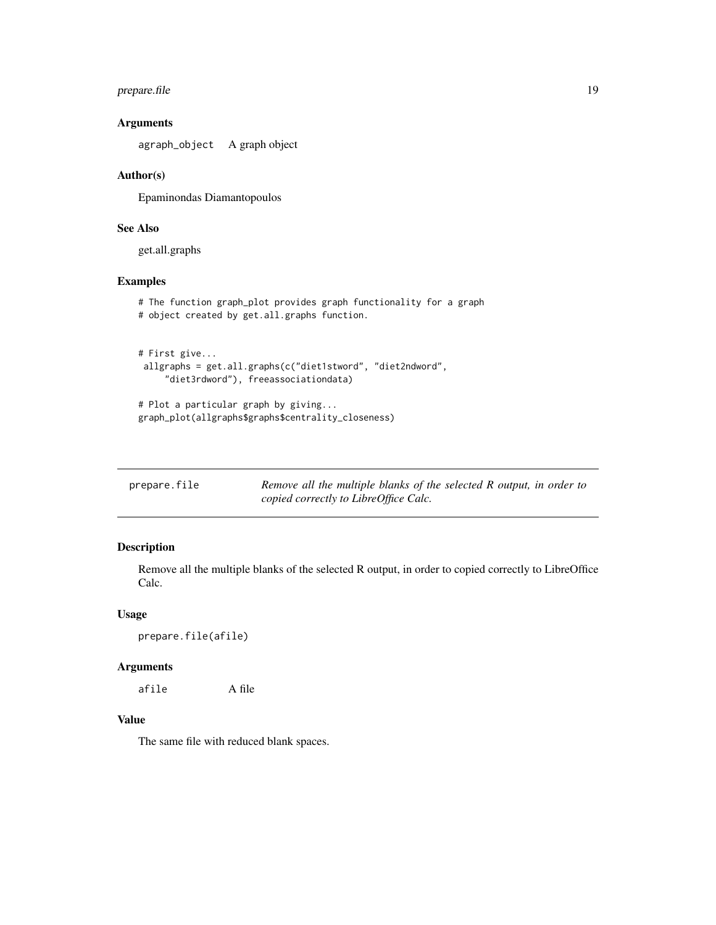# <span id="page-18-0"></span>prepare.file 19

# Arguments

agraph\_object A graph object

# Author(s)

Epaminondas Diamantopoulos

# See Also

get.all.graphs

#### Examples

```
# The function graph_plot provides graph functionality for a graph
# object created by get.all.graphs function.
```

```
# First give...
allgraphs = get.all.graphs(c("diet1stword", "diet2ndword",
     "diet3rdword"), freeassociationdata)
```

```
# Plot a particular graph by giving...
graph_plot(allgraphs$graphs$centrality_closeness)
```

| prepare.file | Remove all the multiple blanks of the selected R output, in order to |
|--------------|----------------------------------------------------------------------|
|              | copied correctly to LibreOffice Calc.                                |

# Description

Remove all the multiple blanks of the selected R output, in order to copied correctly to LibreOffice Calc.

# Usage

```
prepare.file(afile)
```
# Arguments

afile A file

# Value

The same file with reduced blank spaces.